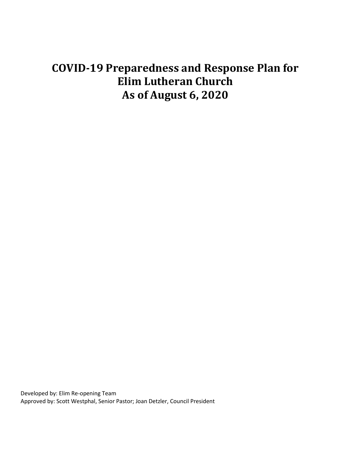# **COVID-19 Preparedness and Response Plan for Elim Lutheran Church As of August 6, 2020**

Developed by: Elim Re-opening Team Approved by: Scott Westphal, Senior Pastor; Joan Detzler, Council President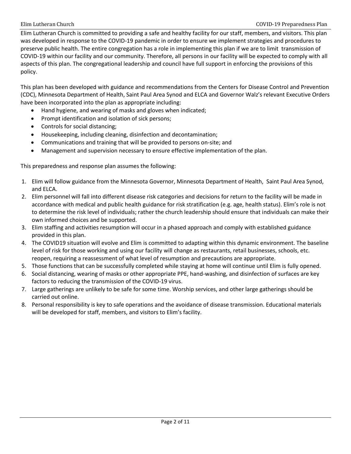Elim Lutheran Church is committed to providing a safe and healthy facility for our staff, members, and visitors. This plan was developed in response to the COVID-19 pandemic in order to ensure we implement strategies and procedures to preserve public health. The entire congregation has a role in implementing this plan if we are to limit transmission of COVID-19 within our facility and our community. Therefore, all persons in our facility will be expected to comply with all aspects of this plan. The congregational leadership and council have full support in enforcing the provisions of this policy.

This plan has been developed with guidance and recommendations from the Centers for Disease Control and Prevention (CDC), Minnesota Department of Health, Saint Paul Area Synod and ELCA and Governor Walz's relevant Executive Orders have been incorporated into the plan as appropriate including:

- Hand hygiene, and wearing of masks and gloves when indicated;
- Prompt identification and isolation of sick persons;
- Controls for social distancing;
- Housekeeping, including cleaning, disinfection and decontamination;
- Communications and training that will be provided to persons on-site; and
- Management and supervision necessary to ensure effective implementation of the plan.

This preparedness and response plan assumes the following:

- 1. Elim will follow guidance from the Minnesota Governor, Minnesota Department of Health, Saint Paul Area Synod, and ELCA.
- 2. Elim personnel will fall into different disease risk categories and decisions for return to the facility will be made in accordance with medical and public health guidance for risk stratification (e.g. age, health status). Elim's role is not to determine the risk level of individuals; rather the church leadership should ensure that individuals can make their own informed choices and be supported.
- 3. Elim staffing and activities resumption will occur in a phased approach and comply with established guidance provided in this plan.
- 4. The COVID19 situation will evolve and Elim is committed to adapting within this dynamic environment. The baseline level of risk for those working and using our facility will change as restaurants, retail businesses, schools, etc. reopen, requiring a reassessment of what level of resumption and precautions are appropriate.
- 5. Those functions that can be successfully completed while staying at home will continue until Elim is fully opened.
- 6. Social distancing, wearing of masks or other appropriate PPE, hand-washing, and disinfection of surfaces are key factors to reducing the transmission of the COVID-19 virus.
- 7. Large gatherings are unlikely to be safe for some time. Worship services, and other large gatherings should be carried out online.
- 8. Personal responsibility is key to safe operations and the avoidance of disease transmission. Educational materials will be developed for staff, members, and visitors to Elim's facility.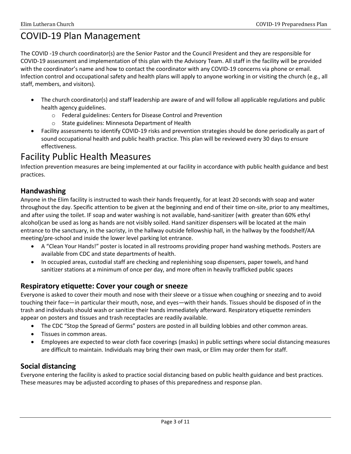## COVID-19 Plan Management

The COVID -19 church coordinator(s) are the Senior Pastor and the Council President and they are responsible for COVID-19 assessment and implementation of this plan with the Advisory Team. All staff in the facility will be provided with the coordinator's name and how to contact the coordinator with any COVID-19 concerns via phone or email. Infection control and occupational safety and health plans will apply to anyone working in or visiting the church (e.g., all staff, members, and visitors).

- The church coordinator(s) and staff leadership are aware of and will follow all applicable regulations and public health agency guidelines.
	- o Federal guidelines: Centers for Disease Control and Prevention
	- o State guidelines: Minnesota Department of Health
- Facility assessments to identify COVID-19 risks and prevention strategies should be done periodically as part of sound occupational health and public health practice. This plan will be reviewed every 30 days to ensure effectiveness.

### Facility Public Health Measures

Infection prevention measures are being implemented at our facility in accordance with public health guidance and best practices.

### **Handwashing**

Anyone in the Elim facility is instructed to wash their hands frequently, for at least 20 seconds with soap and water throughout the day. Specific attention to be given at the beginning and end of their time on-site, prior to any mealtimes, and after using the toilet. IF soap and water washing is not available, hand-sanitizer (with greater than 60% ethyl alcohol)can be used as long as hands are not visibly soiled. Hand sanitizer dispensers will be located at the main entrance to the sanctuary, in the sacristy, in the hallway outside fellowship hall, in the hallway by the foodshelf/AA meeting/pre-school and inside the lower level parking lot entrance.

- A "Clean Your Hands!" poster is located in all restrooms providing proper hand washing methods. Posters are available from CDC and state departments of health.
- In occupied areas, custodial staff are checking and replenishing soap dispensers, paper towels, and hand sanitizer stations at a minimum of once per day, and more often in heavily trafficked public spaces

### **Respiratory etiquette: Cover your cough or sneeze**

Everyone is asked to cover their mouth and nose with their sleeve or a tissue when coughing or sneezing and to avoid touching their face—in particular their mouth, nose, and eyes—with their hands. Tissues should be disposed of in the trash and individuals should wash or sanitize their hands immediately afterward. Respiratory etiquette reminders appear on posters and tissues and trash receptacles are readily available.

- The CDC "Stop the Spread of Germs" posters are posted in all building lobbies and other common areas.
- Tissues in common areas.
- Employees are expected to wear cloth face coverings (masks) in public settings where social distancing measures are difficult to maintain. Individuals may bring their own mask, or Elim may order them for staff.

### **Social distancing**

Everyone entering the facility is asked to practice social distancing based on public health guidance and best practices. These measures may be adjusted according to phases of this preparedness and response plan.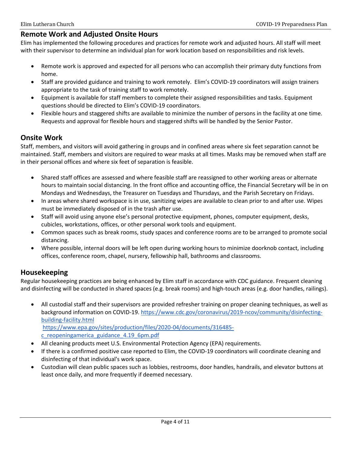### **Remote Work and Adjusted Onsite Hours**

Elim has implemented the following procedures and practices for remote work and adjusted hours. All staff will meet with their supervisor to determine an individual plan for work location based on responsibilities and risk levels.

- Remote work is approved and expected for all persons who can accomplish their primary duty functions from home.
- Staff are provided guidance and training to work remotely. Elim's COVID-19 coordinators will assign trainers appropriate to the task of training staff to work remotely.
- Equipment is available for staff members to complete their assigned responsibilities and tasks. Equipment questions should be directed to Elim's COVID-19 coordinators.
- Flexible hours and staggered shifts are available to minimize the number of persons in the facility at one time. Requests and approval for flexible hours and staggered shifts will be handled by the Senior Pastor.

### **Onsite Work**

Staff, members, and visitors will avoid gathering in groups and in confined areas where six feet separation cannot be maintained. Staff, members and visitors are required to wear masks at all times. Masks may be removed when staff are in their personal offices and where six feet of separation is feasible.

- Shared staff offices are assessed and where feasible staff are reassigned to other working areas or alternate hours to maintain social distancing. In the front office and accounting office, the Financial Secretary will be in on Mondays and Wednesdays, the Treasurer on Tuesdays and Thursdays, and the Parish Secretary on Fridays.
- In areas where shared workspace is in use, sanitizing wipes are available to clean prior to and after use. Wipes must be immediately disposed of in the trash after use.
- Staff will avoid using anyone else's personal protective equipment, phones, computer equipment, desks, cubicles, workstations, offices, or other personal work tools and equipment.
- Common spaces such as break rooms, study spaces and conference rooms are to be arranged to promote social distancing.
- Where possible, internal doors will be left open during working hours to minimize doorknob contact, including offices, conference room, chapel, nursery, fellowship hall, bathrooms and classrooms.

### **Housekeeping**

Regular housekeeping practices are being enhanced by Elim staff in accordance with CDC guidance. Frequent cleaning and disinfecting will be conducted in shared spaces (e.g. break rooms) and high-touch areas (e.g. door handles, railings).

- All custodial staff and their supervisors are provided refresher training on proper cleaning techniques, as well as background information on COVID-19[. https://www.cdc.gov/coronavirus/2019-ncov/community/disinfecting](https://www.cdc.gov/coronavirus/2019-ncov/community/disinfecting-building-facility.html)[building-facility.html](https://www.cdc.gov/coronavirus/2019-ncov/community/disinfecting-building-facility.html) [https://www.epa.gov/sites/production/files/2020-04/documents/316485](https://www.epa.gov/sites/production/files/2020-04/documents/316485-c_reopeningamerica_guidance_4.19_6pm.pdf) [c\\_reopeningamerica\\_guidance\\_4.19\\_6pm.pdf](https://www.epa.gov/sites/production/files/2020-04/documents/316485-c_reopeningamerica_guidance_4.19_6pm.pdf)
- All cleaning products meet U.S. Environmental Protection Agency (EPA) requirements.
- If there is a confirmed positive case reported to Elim, the COVID-19 coordinators will coordinate cleaning and disinfecting of that individual's work space.
- Custodian will clean public spaces such as lobbies, restrooms, door handles, handrails, and elevator buttons at least once daily, and more frequently if deemed necessary.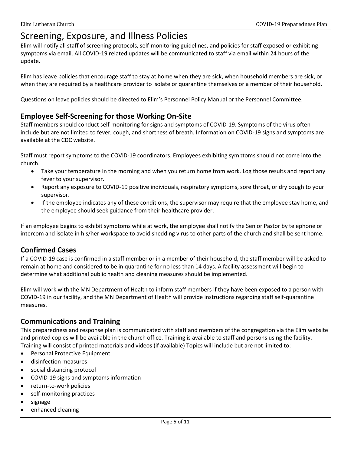### Screening, Exposure, and Illness Policies

Elim will notify all staff of screening protocols, self-monitoring guidelines, and policies for staff exposed or exhibiting symptoms via email. All COVID-19 related updates will be communicated to staff via email within 24 hours of the update.

Elim has leave policies that encourage staff to stay at home when they are sick, when household members are sick, or when they are required by a healthcare provider to isolate or quarantine themselves or a member of their household.

Questions on leave policies should be directed to Elim's Personnel Policy Manual or the Personnel Committee.

### **Employee Self-Screening for those Working On-Site**

Staff members should conduct self-monitoring for signs and symptoms of COVID-19. Symptoms of the virus often include but are not limited to fever, cough, and shortness of breath. Information on COVID-19 signs and symptoms are available at the CDC website.

Staff must report symptoms to the COVID-19 coordinators. Employees exhibiting symptoms should not come into the church.

- Take your temperature in the morning and when you return home from work. Log those results and report any fever to your supervisor.
- Report any exposure to COVID-19 positive individuals, respiratory symptoms, sore throat, or dry cough to your supervisor.
- If the employee indicates any of these conditions, the supervisor may require that the employee stay home, and the employee should seek guidance from their healthcare provider.

If an employee begins to exhibit symptoms while at work, the employee shall notify the Senior Pastor by telephone or intercom and isolate in his/her workspace to avoid shedding virus to other parts of the church and shall be sent home.

### **Confirmed Cases**

If a COVID-19 case is confirmed in a staff member or in a member of their household, the staff member will be asked to remain at home and considered to be in quarantine for no less than 14 days. A facility assessment will begin to determine what additional public health and cleaning measures should be implemented.

Elim will work with the MN Department of Health to inform staff members if they have been exposed to a person with COVID-19 in our facility, and the MN Department of Health will provide instructions regarding staff self-quarantine measures.

### **Communications and Training**

This preparedness and response plan is communicated with staff and members of the congregation via the Elim website and printed copies will be available in the church office. Training is available to staff and persons using the facility. Training will consist of printed materials and videos (if available) Topics will include but are not limited to:

- Personal Protective Equipment,
- disinfection measures
- social distancing protocol
- COVID-19 signs and symptoms information
- return-to-work policies
- self-monitoring practices
- signage
- enhanced cleaning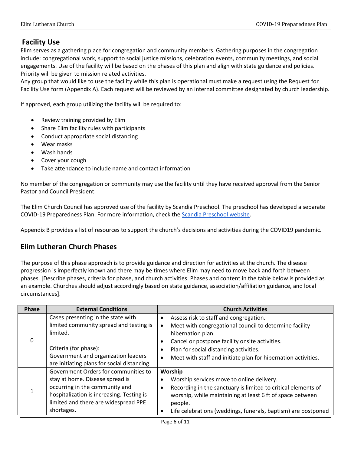### **Facility Use**

Elim serves as a gathering place for congregation and community members. Gathering purposes in the congregation include: congregational work, support to social justice missions, celebration events, community meetings, and social engagements. Use of the facility will be based on the phases of this plan and align with state guidance and policies. Priority will be given to mission related activities.

Any group that would like to use the facility while this plan is operational must make a request using the Request for Facility Use form (Appendix A). Each request will be reviewed by an internal committee designated by church leadership.

If approved, each group utilizing the facility will be required to:

- Review training provided by Elim
- Share Elim facility rules with participants
- Conduct appropriate social distancing
- Wear masks
- Wash hands
- Cover your cough
- Take attendance to include name and contact information

No member of the congregation or community may use the facility until they have received approval from the Senior Pastor and Council President.

The Elim Church Council has approved use of the facility by Scandia Preschool. The preschool has developed a separate COVID-19 Preparedness Plan. For more information, check the [Scandia Preschool website.](http://www.scandiapreschool.com/)

Appendix B provides a list of resources to support the church's decisions and activities during the COVID19 pandemic.

### **Elim Lutheran Church Phases**

The purpose of this phase approach is to provide guidance and direction for activities at the church. The disease progression is imperfectly known and there may be times where Elim may need to move back and forth between phases. [Describe phases, criteria for phase, and church activities. Phases and content in the table below is provided as an example. Churches should adjust accordingly based on state guidance, association/affiliation guidance, and local circumstances].

| <b>Phase</b> | <b>External Conditions</b>                  |           | <b>Church Activities</b>                                      |
|--------------|---------------------------------------------|-----------|---------------------------------------------------------------|
| 0            | Cases presenting in the state with          | $\bullet$ | Assess risk to staff and congregation.                        |
|              | limited community spread and testing is     |           | Meet with congregational council to determine facility        |
|              | limited.                                    |           | hibernation plan.                                             |
|              |                                             |           | Cancel or postpone facility onsite activities.                |
|              | Criteria (for phase):                       |           | Plan for social distancing activities.                        |
|              | Government and organization leaders         |           | Meet with staff and initiate plan for hibernation activities. |
|              | are initiating plans for social distancing. |           |                                                               |
|              | Government Orders for communities to        |           | Worship                                                       |
| $\mathbf{1}$ | stay at home. Disease spread is             | $\bullet$ | Worship services move to online delivery.                     |
|              | occurring in the community and              | $\bullet$ | Recording in the sanctuary is limited to critical elements of |
|              | hospitalization is increasing. Testing is   |           | worship, while maintaining at least 6 ft of space between     |
|              | limited and there are widespread PPE        |           | people.                                                       |
|              | shortages.                                  |           | Life celebrations (weddings, funerals, baptism) are postponed |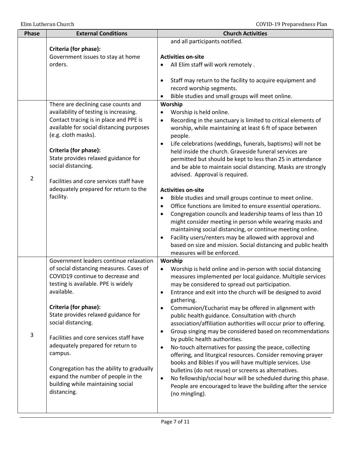| Phase          | <b>External Conditions</b>                                                                                                                                                                                                                                                                                                                 | <b>Church Activities</b>                                                                                                                                                                                                                                                                                                                                                                                                                                                                                                                                                                                                                                                                                                                                                                                                                                                  |
|----------------|--------------------------------------------------------------------------------------------------------------------------------------------------------------------------------------------------------------------------------------------------------------------------------------------------------------------------------------------|---------------------------------------------------------------------------------------------------------------------------------------------------------------------------------------------------------------------------------------------------------------------------------------------------------------------------------------------------------------------------------------------------------------------------------------------------------------------------------------------------------------------------------------------------------------------------------------------------------------------------------------------------------------------------------------------------------------------------------------------------------------------------------------------------------------------------------------------------------------------------|
|                | Criteria (for phase):                                                                                                                                                                                                                                                                                                                      | and all participants notified.                                                                                                                                                                                                                                                                                                                                                                                                                                                                                                                                                                                                                                                                                                                                                                                                                                            |
|                | Government issues to stay at home                                                                                                                                                                                                                                                                                                          | <b>Activities on-site</b>                                                                                                                                                                                                                                                                                                                                                                                                                                                                                                                                                                                                                                                                                                                                                                                                                                                 |
|                | orders.                                                                                                                                                                                                                                                                                                                                    | All Elim staff will work remotely.                                                                                                                                                                                                                                                                                                                                                                                                                                                                                                                                                                                                                                                                                                                                                                                                                                        |
|                |                                                                                                                                                                                                                                                                                                                                            | Staff may return to the facility to acquire equipment and<br>٠<br>record worship segments.<br>Bible studies and small groups will meet online.                                                                                                                                                                                                                                                                                                                                                                                                                                                                                                                                                                                                                                                                                                                            |
|                | There are declining case counts and                                                                                                                                                                                                                                                                                                        | Worship                                                                                                                                                                                                                                                                                                                                                                                                                                                                                                                                                                                                                                                                                                                                                                                                                                                                   |
| $\overline{2}$ | availability of testing is increasing.<br>Contact tracing is in place and PPE is<br>available for social distancing purposes<br>(e.g. cloth masks).<br>Criteria (for phase):<br>State provides relaxed guidance for<br>social distancing.<br>Facilities and core services staff have<br>adequately prepared for return to the<br>facility. | Worship is held online.<br>$\bullet$<br>Recording in the sanctuary is limited to critical elements of<br>$\bullet$<br>worship, while maintaining at least 6 ft of space between<br>people.<br>Life celebrations (weddings, funerals, baptisms) will not be<br>$\bullet$<br>held inside the church. Graveside funeral services are<br>permitted but should be kept to less than 25 in attendance<br>and be able to maintain social distancing. Masks are strongly<br>advised. Approval is required.<br><b>Activities on-site</b><br>Bible studies and small groups continue to meet online.<br>٠<br>Office functions are limited to ensure essential operations.<br>٠<br>Congregation councils and leadership teams of less than 10<br>$\bullet$<br>might consider meeting in person while wearing masks and<br>maintaining social distancing, or continue meeting online. |
|                |                                                                                                                                                                                                                                                                                                                                            | Facility users/renters may be allowed with approval and<br>٠<br>based on size and mission. Social distancing and public health<br>measures will be enforced.                                                                                                                                                                                                                                                                                                                                                                                                                                                                                                                                                                                                                                                                                                              |
|                | Government leaders continue relaxation                                                                                                                                                                                                                                                                                                     | Worship                                                                                                                                                                                                                                                                                                                                                                                                                                                                                                                                                                                                                                                                                                                                                                                                                                                                   |
| 3              | of social distancing measures. Cases of<br>COVID19 continue to decrease and<br>testing is available. PPE is widely<br>available.                                                                                                                                                                                                           | Worship is held online and in-person with social distancing<br>٠<br>measures implemented per local guidance. Multiple services<br>may be considered to spread out participation.<br>Entrance and exit into the church will be designed to avoid<br>٠<br>gathering.                                                                                                                                                                                                                                                                                                                                                                                                                                                                                                                                                                                                        |
|                | Criteria (for phase):<br>State provides relaxed guidance for<br>social distancing.                                                                                                                                                                                                                                                         | Communion/Eucharist may be offered in alignment with<br>$\bullet$<br>public health guidance. Consultation with church<br>association/affiliation authorities will occur prior to offering.<br>Group singing may be considered based on recommendations<br>٠                                                                                                                                                                                                                                                                                                                                                                                                                                                                                                                                                                                                               |
|                | Facilities and core services staff have<br>adequately prepared for return to<br>campus.                                                                                                                                                                                                                                                    | by public health authorities.<br>No-touch alternatives for passing the peace, collecting<br>٠<br>offering, and liturgical resources. Consider removing prayer<br>books and Bibles if you will have multiple services. Use                                                                                                                                                                                                                                                                                                                                                                                                                                                                                                                                                                                                                                                 |
|                | Congregation has the ability to gradually<br>expand the number of people in the<br>building while maintaining social<br>distancing.                                                                                                                                                                                                        | bulletins (do not reuse) or screens as alternatives.<br>No fellowship/social hour will be scheduled during this phase.<br>$\bullet$<br>People are encouraged to leave the building after the service<br>(no mingling).                                                                                                                                                                                                                                                                                                                                                                                                                                                                                                                                                                                                                                                    |
|                |                                                                                                                                                                                                                                                                                                                                            |                                                                                                                                                                                                                                                                                                                                                                                                                                                                                                                                                                                                                                                                                                                                                                                                                                                                           |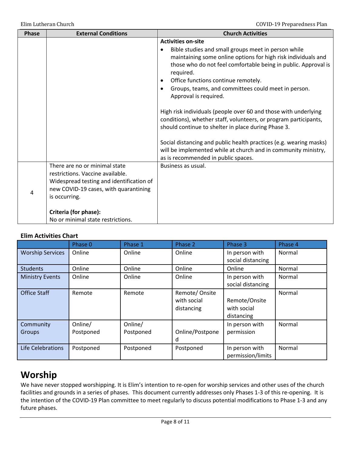| <b>Phase</b> | <b>External Conditions</b>                                                                                                                                                                                                            | <b>Church Activities</b>                                                                                                                                                                                                                                                                                                                                                                                                                                                                                                                                                                                                                                                                                                             |
|--------------|---------------------------------------------------------------------------------------------------------------------------------------------------------------------------------------------------------------------------------------|--------------------------------------------------------------------------------------------------------------------------------------------------------------------------------------------------------------------------------------------------------------------------------------------------------------------------------------------------------------------------------------------------------------------------------------------------------------------------------------------------------------------------------------------------------------------------------------------------------------------------------------------------------------------------------------------------------------------------------------|
|              |                                                                                                                                                                                                                                       | <b>Activities on-site</b><br>Bible studies and small groups meet in person while<br>maintaining some online options for high risk individuals and<br>those who do not feel comfortable being in public. Approval is<br>required.<br>Office functions continue remotely.<br>Groups, teams, and committees could meet in person.<br>Approval is required.<br>High risk individuals (people over 60 and those with underlying<br>conditions), whether staff, volunteers, or program participants,<br>should continue to shelter in place during Phase 3.<br>Social distancing and public health practices (e.g. wearing masks)<br>will be implemented while at church and in community ministry,<br>as is recommended in public spaces. |
| 4            | There are no or minimal state<br>restrictions. Vaccine available.<br>Widespread testing and identification of<br>new COVID-19 cases, with quarantining<br>is occurring.<br>Criteria (for phase):<br>No or minimal state restrictions. | Business as usual.                                                                                                                                                                                                                                                                                                                                                                                                                                                                                                                                                                                                                                                                                                                   |

### **Elim Activities Chart**

|                            | Phase 0              | Phase 1              | Phase 2                                    | Phase 3                                    | Phase 4 |
|----------------------------|----------------------|----------------------|--------------------------------------------|--------------------------------------------|---------|
| <b>Worship Services</b>    | Online               | Online               | Online                                     | In person with<br>social distancing        | Normal  |
| <b>Students</b>            | Online               | Online               | Online                                     | Online                                     | Normal  |
| <b>Ministry Events</b>     | Online               | Online               | Online                                     | In person with<br>social distancing        | Normal  |
| <b>Office Staff</b>        | Remote               | Remote               | Remote/Onsite<br>with social<br>distancing | Remote/Onsite<br>with social<br>distancing | Normal  |
| Community<br><b>Groups</b> | Online/<br>Postponed | Online/<br>Postponed | Online/Postpone<br>d                       | In person with<br>permission               | Normal  |
| Life Celebrations          | Postponed            | Postponed            | Postponed                                  | In person with<br>permission/limits        | Normal  |

### **Worship**

We have never stopped worshipping. It is Elim's intention to re-open for worship services and other uses of the church facilities and grounds in a series of phases. This document currently addresses only Phases 1-3 of this re-opening. It is the intention of the COVID-19 Plan committee to meet regularly to discuss potential modifications to Phase 1-3 and any future phases.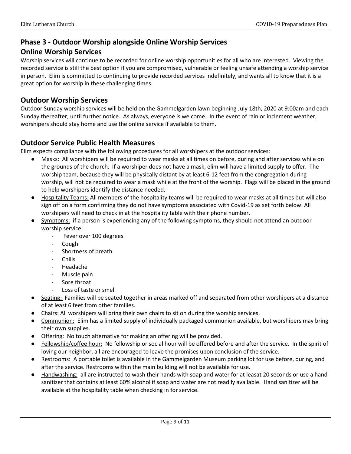### **Phase 3 - Outdoor Worship alongside Online Worship Services**

### **Online Worship Services**

Worship services will continue to be recorded for online worship opportunities for all who are interested. Viewing the recorded service is still the best option if you are compromised, vulnerable or feeling unsafe attending a worship service in person. Elim is committed to continuing to provide recorded services indefinitely, and wants all to know that it is a great option for worship in these challenging times.

### **Outdoor Worship Services**

Outdoor Sunday worship services will be held on the Gammelgarden lawn beginning July 18th, 2020 at 9:00am and each Sunday thereafter, until further notice. As always, everyone is welcome. In the event of rain or inclement weather, worshipers should stay home and use the online service if available to them.

### **Outdoor Service Public Health Measures**

Elim expects compliance with the following procedures for all worshipers at the outdoor services:

- Masks: All worshipers will be required to wear masks at all times on before, during and after services while on the grounds of the church. If a worshiper does not have a mask, elim will have a limited supply to offer. The worship team, because they will be physically distant by at least 6-12 feet from the congregation during worship, will not be required to wear a mask while at the front of the worship. Flags will be placed in the ground to help worshipers identify the distance needed.
- Hospitality Teams: All members of the hospitality teams will be required to wear masks at all times but will also sign off on a form confirming they do not have symptoms associated with Covid-19 as set forth below. All worshipers will need to check in at the hospitality table with their phone number.
- Symptoms: if a person is experiencing any of the following symptoms, they should not attend an outdoor worship service:
	- Fever over 100 degrees
	- Cough
	- Shortness of breath
	- Chills
	- Headache
	- Muscle pain
	- Sore throat
	- Loss of taste or smell
- Seating: Families will be seated together in areas marked off and separated from other worshipers at a distance of at least 6 feet from other families.
- Chairs: All worshipers will bring their own chairs to sit on during the worship services.
- Communion: Elim has a limited supply of individually packaged communion available, but worshipers may bring their own supplies.
- Offering: No touch alternative for making an offering will be provided.
- Fellowship/coffee hour: No fellowship or social hour will be offered before and after the service. In the spirit of loving our neighbor, all are encouraged to leave the promises upon conclusion of the service.
- Restrooms: A portable toilet is available in the Gammelgarden Museum parking lot for use before, during, and after the service. Restrooms within the main building will not be available for use.
- Handwashing: all are instructed to wash their hands with soap and water for at leasat 20 seconds or use a hand sanitizer that contains at least 60% alcohol if soap and water are not readily available. Hand sanitizer will be available at the hospitality table when checking in for service.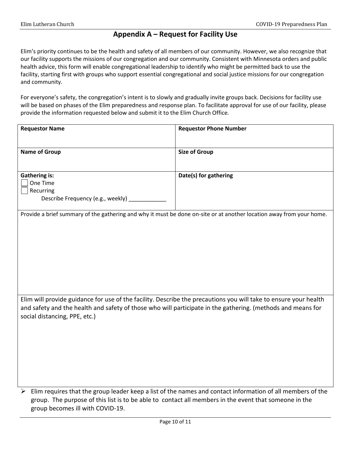### **Appendix A – Request for Facility Use**

Elim's priority continues to be the health and safety of all members of our community. However, we also recognize that our facility supports the missions of our congregation and our community. Consistent with Minnesota orders and public health advice, this form will enable congregational leadership to identify who might be permitted back to use the facility, starting first with groups who support essential congregational and social justice missions for our congregation and community.

For everyone's safety, the congregation's intent is to slowly and gradually invite groups back. Decisions for facility use will be based on phases of the Elim preparedness and response plan. To facilitate approval for use of our facility, please provide the information requested below and submit it to the Elim Church Office.

| <b>Requestor Name</b>                                                                                                | <b>Requestor Phone Number</b>                                                                              |
|----------------------------------------------------------------------------------------------------------------------|------------------------------------------------------------------------------------------------------------|
|                                                                                                                      |                                                                                                            |
| <b>Name of Group</b>                                                                                                 | <b>Size of Group</b>                                                                                       |
|                                                                                                                      |                                                                                                            |
| <b>Gathering is:</b><br>One Time                                                                                     | Date(s) for gathering                                                                                      |
| Recurring                                                                                                            |                                                                                                            |
| Describe Frequency (e.g., weekly) _                                                                                  |                                                                                                            |
| Provide a brief summary of the gathering and why it must be done on-site or at another location away from your home. |                                                                                                            |
|                                                                                                                      |                                                                                                            |
|                                                                                                                      |                                                                                                            |
|                                                                                                                      |                                                                                                            |
|                                                                                                                      |                                                                                                            |
|                                                                                                                      |                                                                                                            |
|                                                                                                                      |                                                                                                            |
| Elim will provide guidance for use of the facility. Describe the precautions you will take to ensure your health     |                                                                                                            |
| and safety and the health and safety of those who will participate in the gathering. (methods and means for          |                                                                                                            |
| social distancing, PPE, etc.)                                                                                        |                                                                                                            |
|                                                                                                                      |                                                                                                            |
|                                                                                                                      |                                                                                                            |
|                                                                                                                      |                                                                                                            |
|                                                                                                                      |                                                                                                            |
|                                                                                                                      |                                                                                                            |
| ➤<br>group. The purpose of this list is to be able to contact all members in the event that someone in the           | Elim requires that the group leader keep a list of the names and contact information of all members of the |
|                                                                                                                      |                                                                                                            |